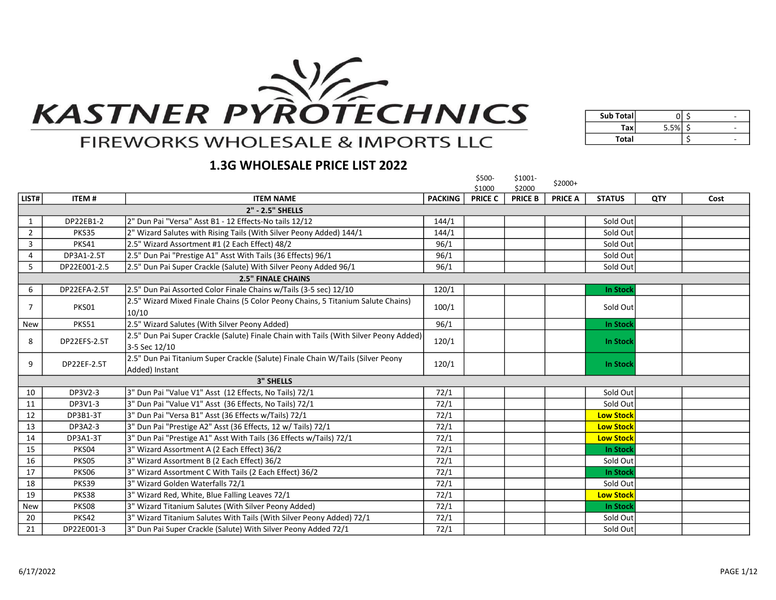

| Sub Total    |      |  |
|--------------|------|--|
| Тах          | 5.5% |  |
| <b>Total</b> |      |  |

# **FIREWORKS WHOLESALE & IMPORTS LLC**

## 1.3G WHOLESALE PRICE LIST 2022

|                |              |                                                                                                        |                | \$500-<br>\$1000 | \$1001-<br>\$2000 | $$2000+$       |                  |     |      |
|----------------|--------------|--------------------------------------------------------------------------------------------------------|----------------|------------------|-------------------|----------------|------------------|-----|------|
| LIST#          | <b>ITEM#</b> | <b>ITEM NAME</b>                                                                                       | <b>PACKING</b> | <b>PRICE C</b>   | <b>PRICE B</b>    | <b>PRICE A</b> | <b>STATUS</b>    | QTY | Cost |
|                |              | 2" - 2.5" SHELLS                                                                                       |                |                  |                   |                |                  |     |      |
| 1              | DP22EB1-2    | 2" Dun Pai "Versa" Asst B1 - 12 Effects-No tails 12/12                                                 | 144/1          |                  |                   |                | Sold Out         |     |      |
| $\overline{2}$ | PKS35        | 2" Wizard Salutes with Rising Tails (With Silver Peony Added) 144/1                                    | 144/1          |                  |                   |                | Sold Out         |     |      |
| 3              | PKS41        | 2.5" Wizard Assortment #1 (2 Each Effect) 48/2                                                         | 96/1           |                  |                   |                | Sold Out         |     |      |
| $\overline{4}$ | DP3A1-2.5T   | 2.5" Dun Pai "Prestige A1" Asst With Tails (36 Effects) 96/1                                           | 96/1           |                  |                   |                | Sold Out         |     |      |
| 5              | DP22E001-2.5 | 2.5" Dun Pai Super Crackle (Salute) With Silver Peony Added 96/1                                       | 96/1           |                  |                   |                | Sold Out         |     |      |
|                |              | <b>2.5" FINALE CHAINS</b>                                                                              |                |                  |                   |                |                  |     |      |
| 6              | DP22EFA-2.5T | 2.5" Dun Pai Assorted Color Finale Chains w/Tails (3-5 sec) 12/10                                      | 120/1          |                  |                   |                | <b>In Stock</b>  |     |      |
| 7              | PKS01        | 2.5" Wizard Mixed Finale Chains (5 Color Peony Chains, 5 Titanium Salute Chains)<br>10/10              | 100/1          |                  |                   |                | Sold Out         |     |      |
| <b>New</b>     | <b>PKS51</b> | 2.5" Wizard Salutes (With Silver Peony Added)                                                          | 96/1           |                  |                   |                | <b>In Stock</b>  |     |      |
| 8              | DP22EFS-2.5T | 2.5" Dun Pai Super Crackle (Salute) Finale Chain with Tails (With Silver Peony Added)<br>3-5 Sec 12/10 | 120/1          |                  |                   |                | <b>In Stock</b>  |     |      |
| 9              | DP22EF-2.5T  | 2.5" Dun Pai Titanium Super Crackle (Salute) Finale Chain W/Tails (Silver Peony<br>Added) Instant      | 120/1          |                  |                   |                | <b>In Stock</b>  |     |      |
|                |              | <b>3" SHELLS</b>                                                                                       |                |                  |                   |                |                  |     |      |
| 10             | DP3V2-3      | 3" Dun Pai "Value V1" Asst (12 Effects, No Tails) 72/1                                                 | 72/1           |                  |                   |                | Sold Out         |     |      |
| 11             | DP3V1-3      | 3" Dun Pai "Value V1" Asst (36 Effects, No Tails) 72/1                                                 | 72/1           |                  |                   |                | Sold Out         |     |      |
| 12             | DP3B1-3T     | 3" Dun Pai "Versa B1" Asst (36 Effects w/Tails) 72/1                                                   | 72/1           |                  |                   |                | <b>Low Stock</b> |     |      |
| 13             | DP3A2-3      | 3" Dun Pai "Prestige A2" Asst (36 Effects, 12 w/ Tails) 72/1                                           | 72/1           |                  |                   |                | <b>Low Stock</b> |     |      |
| 14             | DP3A1-3T     | 3" Dun Pai "Prestige A1" Asst With Tails (36 Effects w/Tails) 72/1                                     | 72/1           |                  |                   |                | <b>Low Stock</b> |     |      |
| 15             | PKS04        | 3" Wizard Assortment A (2 Each Effect) 36/2                                                            | 72/1           |                  |                   |                | <b>In Stock</b>  |     |      |
| 16             | PKS05        | 3" Wizard Assortment B (2 Each Effect) 36/2                                                            | 72/1           |                  |                   |                | Sold Out         |     |      |
| 17             | PKS06        | 3" Wizard Assortment C With Tails (2 Each Effect) 36/2                                                 | 72/1           |                  |                   |                | <b>In Stock</b>  |     |      |
| 18             | PKS39        | 3" Wizard Golden Waterfalls 72/1                                                                       | 72/1           |                  |                   |                | Sold Out         |     |      |
| 19             | PKS38        | 3" Wizard Red, White, Blue Falling Leaves 72/1                                                         | 72/1           |                  |                   |                | <b>Low Stock</b> |     |      |
| <b>New</b>     | PKS08        | 3" Wizard Titanium Salutes (With Silver Peony Added)                                                   | 72/1           |                  |                   |                | <b>In Stock</b>  |     |      |
| 20             | PKS42        | 3" Wizard Titanium Salutes With Tails (With Silver Peony Added) 72/1                                   | 72/1           |                  |                   |                | Sold Out         |     |      |
| 21             | DP22E001-3   | 3" Dun Pai Super Crackle (Salute) With Silver Peony Added 72/1                                         | 72/1           |                  |                   |                | Sold Out         |     |      |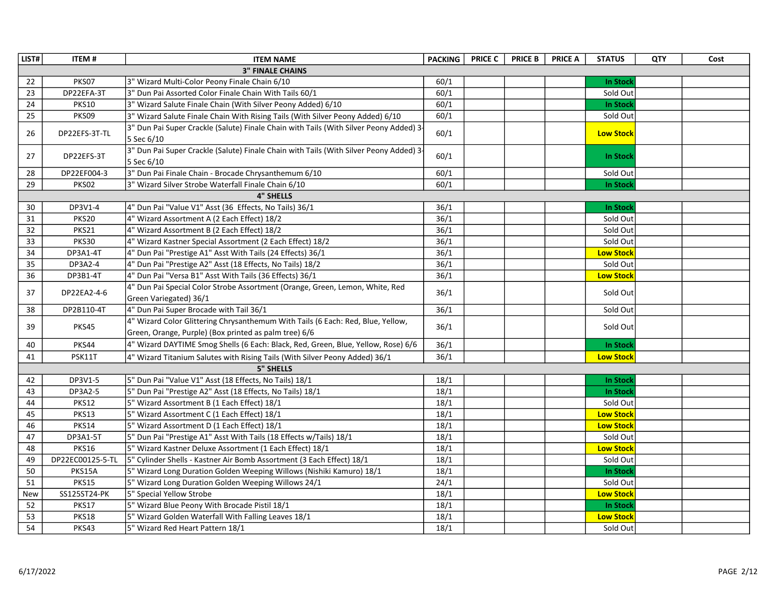| LIST# | <b>ITEM#</b>     | <b>ITEM NAME</b>                                                                                       | <b>PACKING</b> | <b>PRICE C</b> | <b>PRICE B</b> | <b>PRICE A</b> | <b>STATUS</b>    | QTY | Cost |
|-------|------------------|--------------------------------------------------------------------------------------------------------|----------------|----------------|----------------|----------------|------------------|-----|------|
|       |                  | <b>3" FINALE CHAINS</b>                                                                                |                |                |                |                |                  |     |      |
| 22    | PKS07            | 3" Wizard Multi-Color Peony Finale Chain 6/10                                                          | 60/1           |                |                |                | In Stock         |     |      |
| 23    | DP22EFA-3T       | 3" Dun Pai Assorted Color Finale Chain With Tails 60/1                                                 | 60/1           |                |                |                | Sold Out         |     |      |
| 24    | <b>PKS10</b>     | 3" Wizard Salute Finale Chain (With Silver Peony Added) 6/10                                           | 60/1           |                |                |                | In Stock         |     |      |
| 25    | PKS09            | 3" Wizard Salute Finale Chain With Rising Tails (With Silver Peony Added) 6/10                         | 60/1           |                |                |                | Sold Out         |     |      |
| 26    | DP22EFS-3T-TL    | 3" Dun Pai Super Crackle (Salute) Finale Chain with Tails (With Silver Peony Added) 3<br>5 Sec 6/10    | 60/1           |                |                |                | <b>Low Stock</b> |     |      |
| 27    | DP22EFS-3T       | 3" Dun Pai Super Crackle (Salute) Finale Chain with Tails (With Silver Peony Added) 3<br>5 Sec 6/10    | 60/1           |                |                |                | <b>In Stock</b>  |     |      |
| 28    | DP22EF004-3      | 3" Dun Pai Finale Chain - Brocade Chrysanthemum 6/10                                                   | 60/1           |                |                |                | Sold Out         |     |      |
| 29    | PKS02            | 3" Wizard Silver Strobe Waterfall Finale Chain 6/10                                                    | 60/1           |                |                |                | <b>In Stock</b>  |     |      |
|       |                  | <b>4" SHELLS</b>                                                                                       |                |                |                |                |                  |     |      |
| 30    | DP3V1-4          | 4" Dun Pai "Value V1" Asst (36 Effects, No Tails) 36/1                                                 | 36/1           |                |                |                | In Stock         |     |      |
| 31    | <b>PKS20</b>     | 4" Wizard Assortment A (2 Each Effect) 18/2                                                            | 36/1           |                |                |                | Sold Out         |     |      |
| 32    | PKS21            | 4" Wizard Assortment B (2 Each Effect) 18/2                                                            | 36/1           |                |                |                | Sold Out         |     |      |
| 33    | <b>PKS30</b>     | 4" Wizard Kastner Special Assortment (2 Each Effect) 18/2                                              | 36/1           |                |                |                | Sold Out         |     |      |
| 34    | DP3A1-4T         | 4" Dun Pai "Prestige A1" Asst With Tails (24 Effects) 36/1                                             | 36/1           |                |                |                | <b>Low Stock</b> |     |      |
| 35    | DP3A2-4          | 4" Dun Pai "Prestige A2" Asst (18 Effects, No Tails) 18/2                                              | 36/1           |                |                |                | Sold Out         |     |      |
| 36    | DP3B1-4T         | 4" Dun Pai "Versa B1" Asst With Tails (36 Effects) 36/1                                                | 36/1           |                |                |                | <b>Low Stock</b> |     |      |
| 37    | DP22EA2-4-6      | 4" Dun Pai Special Color Strobe Assortment (Orange, Green, Lemon, White, Red<br>Green Variegated) 36/1 | 36/1           |                |                |                | Sold Out         |     |      |
| 38    | DP2B110-4T       | 4" Dun Pai Super Brocade with Tail 36/1                                                                | 36/1           |                |                |                | Sold Out         |     |      |
|       |                  | 4" Wizard Color Glittering Chrysanthemum With Tails (6 Each: Red, Blue, Yellow,                        |                |                |                |                |                  |     |      |
| 39    | PKS45            | Green, Orange, Purple) (Box printed as palm tree) 6/6                                                  | 36/1           |                |                |                | Sold Out         |     |      |
| 40    | PKS44            | 4" Wizard DAYTIME Smog Shells (6 Each: Black, Red, Green, Blue, Yellow, Rose) 6/6                      | 36/1           |                |                |                | <b>In Stock</b>  |     |      |
| 41    | PSK11T           | 4" Wizard Titanium Salutes with Rising Tails (With Silver Peony Added) 36/1                            | 36/1           |                |                |                | <b>Low Stock</b> |     |      |
|       |                  | <b>5" SHELLS</b>                                                                                       |                |                |                |                |                  |     |      |
| 42    | DP3V1-5          | 5" Dun Pai "Value V1" Asst (18 Effects, No Tails) 18/1                                                 | 18/1           |                |                |                | <b>In Stock</b>  |     |      |
| 43    | DP3A2-5          | 5" Dun Pai "Prestige A2" Asst (18 Effects, No Tails) 18/1                                              | 18/1           |                |                |                | <b>In Stock</b>  |     |      |
| 44    | <b>PKS12</b>     | 5" Wizard Assortment B (1 Each Effect) 18/1                                                            | 18/1           |                |                |                | Sold Out         |     |      |
| 45    | PKS13            | 5" Wizard Assortment C (1 Each Effect) 18/1                                                            | 18/1           |                |                |                | <b>Low Stock</b> |     |      |
| 46    | <b>PKS14</b>     | 5" Wizard Assortment D (1 Each Effect) 18/1                                                            | 18/1           |                |                |                | <b>Low Stock</b> |     |      |
| 47    | DP3A1-5T         | 5" Dun Pai "Prestige A1" Asst With Tails (18 Effects w/Tails) 18/1                                     | 18/1           |                |                |                | Sold Out         |     |      |
| 48    | <b>PKS16</b>     | 5" Wizard Kastner Deluxe Assortment (1 Each Effect) 18/1                                               | 18/1           |                |                |                | <b>Low Stock</b> |     |      |
| 49    | DP22EC00125-5-TL | 5" Cylinder Shells - Kastner Air Bomb Assortment (3 Each Effect) 18/1                                  | 18/1           |                |                |                | Sold Out         |     |      |
| 50    | PKS15A           | 5" Wizard Long Duration Golden Weeping Willows (Nishiki Kamuro) 18/1                                   | 18/1           |                |                |                | <b>In Stock</b>  |     |      |
| 51    | <b>PKS15</b>     | 5" Wizard Long Duration Golden Weeping Willows 24/1                                                    | 24/1           |                |                |                | Sold Out         |     |      |
| New   | SS125ST24-PK     | 5" Special Yellow Strobe                                                                               | 18/1           |                |                |                | <b>Low Stock</b> |     |      |
| 52    | <b>PKS17</b>     | 5" Wizard Blue Peony With Brocade Pistil 18/1                                                          | 18/1           |                |                |                | <b>In Stock</b>  |     |      |
| 53    | PKS18            | 5" Wizard Golden Waterfall With Falling Leaves 18/1                                                    | 18/1           |                |                |                | <b>Low Stock</b> |     |      |
| 54    | PKS43            | 5" Wizard Red Heart Pattern 18/1                                                                       | 18/1           |                |                |                | Sold Out         |     |      |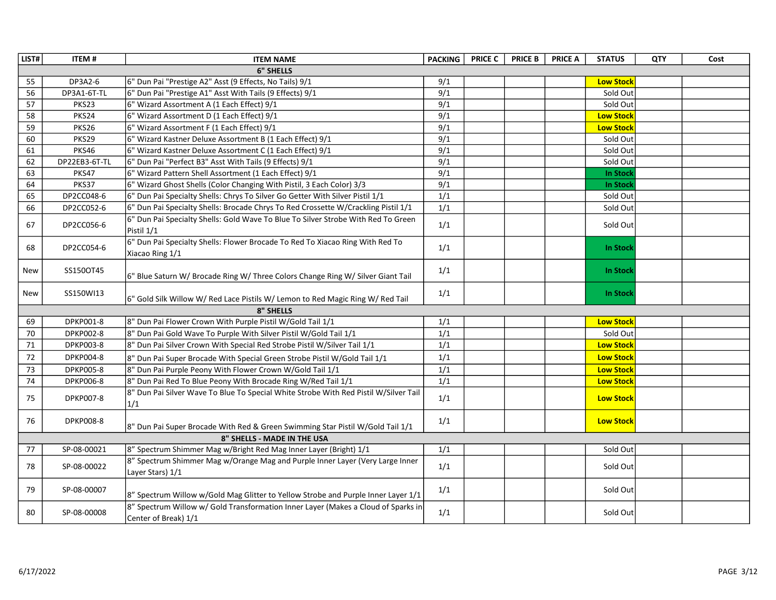| LIST#  | <b>ITEM#</b>     | <b>ITEM NAME</b>                                                                                          | <b>PACKING</b>   | <b>PRICE C</b> | <b>PRICE B</b> | <b>PRICE A</b> | <b>STATUS</b>    | QTY | Cost |
|--------|------------------|-----------------------------------------------------------------------------------------------------------|------------------|----------------|----------------|----------------|------------------|-----|------|
|        |                  | <b>6" SHELLS</b>                                                                                          |                  |                |                |                |                  |     |      |
| 55     | DP3A2-6          | 6" Dun Pai "Prestige A2" Asst (9 Effects, No Tails) 9/1                                                   | 9/1              |                |                |                | <b>Low Stock</b> |     |      |
| 56     | DP3A1-6T-TL      | 6" Dun Pai "Prestige A1" Asst With Tails (9 Effects) 9/1                                                  | 9/1              |                |                |                | Sold Out         |     |      |
| 57     | PKS23            | 6" Wizard Assortment A (1 Each Effect) 9/1                                                                | 9/1              |                |                |                | Sold Out         |     |      |
| 58     | PKS24            | 6" Wizard Assortment D (1 Each Effect) 9/1                                                                | 9/1              |                |                |                | <b>Low Stock</b> |     |      |
| 59     | PKS26            | 6" Wizard Assortment F (1 Each Effect) 9/1                                                                | 9/1              |                |                |                | <b>Low Stock</b> |     |      |
| 60     | PKS29            | 6" Wizard Kastner Deluxe Assortment B (1 Each Effect) 9/1                                                 | $\overline{9/1}$ |                |                |                | Sold Out         |     |      |
| 61     | PKS46            | 6" Wizard Kastner Deluxe Assortment C (1 Each Effect) 9/1                                                 | 9/1              |                |                |                | Sold Out         |     |      |
| 62     | DP22EB3-6T-TL    | 6" Dun Pai "Perfect B3" Asst With Tails (9 Effects) 9/1                                                   | $\overline{9/1}$ |                |                |                | Sold Out         |     |      |
| 63     | PKS47            | 6" Wizard Pattern Shell Assortment (1 Each Effect) 9/1                                                    | 9/1              |                |                |                | <b>In Stock</b>  |     |      |
| 64     | PKS37            | 6" Wizard Ghost Shells (Color Changing With Pistil, 3 Each Color) 3/3                                     | 9/1              |                |                |                | In Stock         |     |      |
| 65     | DP2CC048-6       | 6" Dun Pai Specialty Shells: Chrys To Silver Go Getter With Silver Pistil 1/1                             | 1/1              |                |                |                | Sold Out         |     |      |
| 66     | DP2CC052-6       | 6" Dun Pai Specialty Shells: Brocade Chrys To Red Crossette W/Crackling Pistil 1/1                        | 1/1              |                |                |                | Sold Out         |     |      |
| 67     | DP2CC056-6       | 6" Dun Pai Specialty Shells: Gold Wave To Blue To Silver Strobe With Red To Green<br>Pistil 1/1           | 1/1              |                |                |                | Sold Out         |     |      |
| 68     | DP2CC054-6       | 6" Dun Pai Specialty Shells: Flower Brocade To Red To Xiacao Ring With Red To<br>Xiacao Ring 1/1          | 1/1              |                |                |                | <b>In Stock</b>  |     |      |
| New    | SS150OT45        | 6" Blue Saturn W/ Brocade Ring W/ Three Colors Change Ring W/ Silver Giant Tail                           | 1/1              |                |                |                | <b>In Stock</b>  |     |      |
| New    | SS150WI13        | 6" Gold Silk Willow W/ Red Lace Pistils W/ Lemon to Red Magic Ring W/ Red Tail                            | 1/1              |                |                |                | <b>In Stock</b>  |     |      |
|        |                  | <b>8" SHELLS</b>                                                                                          |                  |                |                |                |                  |     |      |
| 69     | DPKP001-8        | 8" Dun Pai Flower Crown With Purple Pistil W/Gold Tail 1/1                                                | 1/1              |                |                |                | <b>Low Stock</b> |     |      |
| 70     | DPKP002-8        | 8" Dun Pai Gold Wave To Purple With Silver Pistil W/Gold Tail 1/1                                         | 1/1              |                |                |                | Sold Out         |     |      |
| 71     | DPKP003-8        | 8" Dun Pai Silver Crown With Special Red Strobe Pistil W/Silver Tail 1/1                                  | 1/1              |                |                |                | <b>Low Stock</b> |     |      |
| $72\,$ | DPKP004-8        | 8" Dun Pai Super Brocade With Special Green Strobe Pistil W/Gold Tail 1/1                                 | 1/1              |                |                |                | <b>Low Stock</b> |     |      |
| 73     | <b>DPKP005-8</b> | 8" Dun Pai Purple Peony With Flower Crown W/Gold Tail 1/1                                                 | 1/1              |                |                |                | <b>Low Stock</b> |     |      |
| 74     | DPKP006-8        | 8" Dun Pai Red To Blue Peony With Brocade Ring W/Red Tail 1/1                                             | 1/1              |                |                |                | <b>Low Stock</b> |     |      |
| 75     | DPKP007-8        | 8" Dun Pai Silver Wave To Blue To Special White Strobe With Red Pistil W/Silver Tail<br>1/1               | 1/1              |                |                |                | <b>Low Stock</b> |     |      |
| 76     | <b>DPKP008-8</b> | 8" Dun Pai Super Brocade With Red & Green Swimming Star Pistil W/Gold Tail 1/1                            | 1/1              |                |                |                | <b>Low Stock</b> |     |      |
|        |                  | 8" SHELLS - MADE IN THE USA                                                                               |                  |                |                |                |                  |     |      |
| 77     | SP-08-00021      | 8" Spectrum Shimmer Mag w/Bright Red Mag Inner Layer (Bright) 1/1                                         | 1/1              |                |                |                | Sold Out         |     |      |
| 78     | SP-08-00022      | 8" Spectrum Shimmer Mag w/Orange Mag and Purple Inner Layer (Very Large Inner<br>Layer Stars) 1/1         | 1/1              |                |                |                | Sold Out         |     |      |
| 79     | SP-08-00007      | 8" Spectrum Willow w/Gold Mag Glitter to Yellow Strobe and Purple Inner Layer 1/1                         | 1/1              |                |                |                | Sold Out         |     |      |
| 80     | SP-08-00008      | 8" Spectrum Willow w/ Gold Transformation Inner Layer (Makes a Cloud of Sparks in<br>Center of Break) 1/1 | 1/1              |                |                |                | Sold Out         |     |      |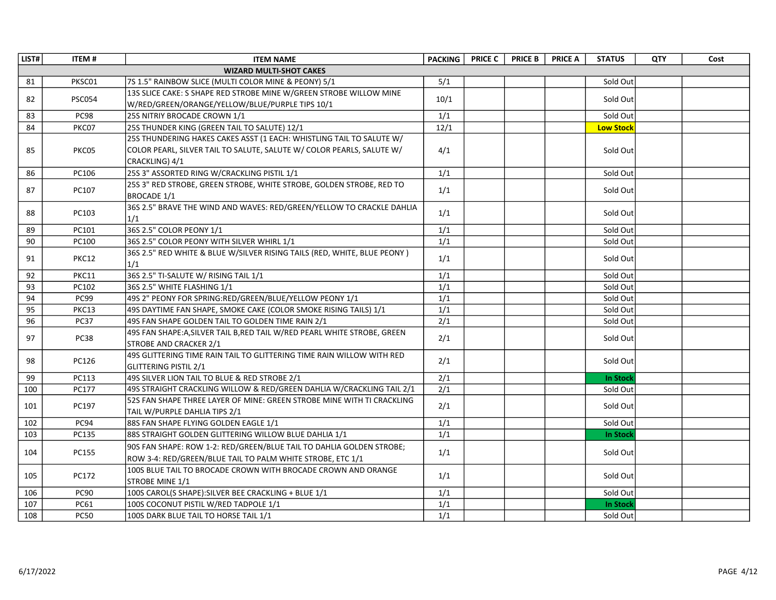| LIST# | <b>ITEM#</b>  | <b>ITEM NAME</b>                                                          | <b>PACKING</b>   | <b>PRICE C</b> | <b>PRICE B</b> | <b>PRICE A</b> | <b>STATUS</b>    | QTY | Cost |
|-------|---------------|---------------------------------------------------------------------------|------------------|----------------|----------------|----------------|------------------|-----|------|
|       |               | <b>WIZARD MULTI-SHOT CAKES</b>                                            |                  |                |                |                |                  |     |      |
| 81    | PKSC01        | 7S 1.5" RAINBOW SLICE (MULTI COLOR MINE & PEONY) 5/1                      | 5/1              |                |                |                | Sold Out         |     |      |
| 82    | <b>PSC054</b> | 13S SLICE CAKE: S SHAPE RED STROBE MINE W/GREEN STROBE WILLOW MINE        | 10/1             |                |                |                | Sold Out         |     |      |
|       |               | W/RED/GREEN/ORANGE/YELLOW/BLUE/PURPLE TIPS 10/1                           |                  |                |                |                |                  |     |      |
| 83    | PC98          | 25S NITRIY BROCADE CROWN 1/1                                              | 1/1              |                |                |                | Sold Out         |     |      |
| 84    | PKC07         | 25S THUNDER KING (GREEN TAIL TO SALUTE) 12/1                              | 12/1             |                |                |                | <b>Low Stock</b> |     |      |
|       |               | 25S THUNDERING HAKES CAKES ASST (1 EACH: WHISTLING TAIL TO SALUTE W/      |                  |                |                |                |                  |     |      |
| 85    | PKC05         | COLOR PEARL, SILVER TAIL TO SALUTE, SALUTE W/ COLOR PEARLS, SALUTE W/     | 4/1              |                |                |                | Sold Out         |     |      |
|       |               | CRACKLING) 4/1                                                            |                  |                |                |                |                  |     |      |
| 86    | PC106         | 25S 3" ASSORTED RING W/CRACKLING PISTIL 1/1                               | 1/1              |                |                |                | Sold Out         |     |      |
| 87    | PC107         | 25S 3" RED STROBE, GREEN STROBE, WHITE STROBE, GOLDEN STROBE, RED TO      | 1/1              |                |                |                | Sold Out         |     |      |
|       |               | BROCADE 1/1                                                               |                  |                |                |                |                  |     |      |
| 88    | PC103         | 36S 2.5" BRAVE THE WIND AND WAVES: RED/GREEN/YELLOW TO CRACKLE DAHLIA     | 1/1              |                |                |                | Sold Out         |     |      |
|       |               | 1/1                                                                       |                  |                |                |                |                  |     |      |
| 89    | PC101         | 36S 2.5" COLOR PEONY 1/1                                                  | 1/1              |                |                |                | Sold Out         |     |      |
| 90    | PC100         | 36S 2.5" COLOR PEONY WITH SILVER WHIRL 1/1                                | 1/1              |                |                |                | Sold Out         |     |      |
| 91    | PKC12         | 36S 2.5" RED WHITE & BLUE W/SILVER RISING TAILS (RED, WHITE, BLUE PEONY)  | 1/1              |                |                |                | Sold Out         |     |      |
|       |               | 1/1                                                                       |                  |                |                |                |                  |     |      |
| 92    | <b>PKC11</b>  | 36S 2.5" TI-SALUTE W/ RISING TAIL 1/1                                     | 1/1              |                |                |                | Sold Out         |     |      |
| 93    | PC102         | 36S 2.5" WHITE FLASHING 1/1                                               | $\overline{1/1}$ |                |                |                | Sold Out         |     |      |
| 94    | PC99          | 49S 2" PEONY FOR SPRING:RED/GREEN/BLUE/YELLOW PEONY 1/1                   | 1/1              |                |                |                | Sold Out         |     |      |
| 95    | PKC13         | 49S DAYTIME FAN SHAPE, SMOKE CAKE (COLOR SMOKE RISING TAILS) 1/1          | 1/1              |                |                |                | Sold Out         |     |      |
| 96    | <b>PC37</b>   | 49S FAN SHAPE GOLDEN TAIL TO GOLDEN TIME RAIN 2/1                         | 2/1              |                |                |                | Sold Out         |     |      |
| 97    | <b>PC38</b>   | 49S FAN SHAPE: A, SILVER TAIL B, RED TAIL W/RED PEARL WHITE STROBE, GREEN | 2/1              |                |                |                | Sold Out         |     |      |
|       |               | STROBE AND CRACKER 2/1                                                    |                  |                |                |                |                  |     |      |
| 98    | PC126         | 49S GLITTERING TIME RAIN TAIL TO GLITTERING TIME RAIN WILLOW WITH RED     | 2/1              |                |                |                | Sold Out         |     |      |
|       |               | <b>GLITTERING PISTIL 2/1</b>                                              |                  |                |                |                |                  |     |      |
| 99    | PC113         | 49S SILVER LION TAIL TO BLUE & RED STROBE 2/1                             | 2/1              |                |                |                | <b>In Stock</b>  |     |      |
| 100   | PC177         | 49S STRAIGHT CRACKLING WILLOW & RED/GREEN DAHLIA W/CRACKLING TAIL 2/1     | $\overline{2/1}$ |                |                |                | Sold Out         |     |      |
| 101   | PC197         | 52S FAN SHAPE THREE LAYER OF MINE: GREEN STROBE MINE WITH TI CRACKLING    | 2/1              |                |                |                | Sold Out         |     |      |
|       |               | TAIL W/PURPLE DAHLIA TIPS 2/1                                             |                  |                |                |                |                  |     |      |
| 102   | PC94          | 88S FAN SHAPE FLYING GOLDEN EAGLE 1/1                                     | 1/1              |                |                |                | Sold Out         |     |      |
| 103   | PC135         | 88S STRAIGHT GOLDEN GLITTERING WILLOW BLUE DAHLIA 1/1                     | 1/1              |                |                |                | <b>In Stock</b>  |     |      |
| 104   | <b>PC155</b>  | 90S FAN SHAPE: ROW 1-2: RED/GREEN/BLUE TAIL TO DAHLIA GOLDEN STROBE;      | 1/1              |                |                |                | Sold Out         |     |      |
|       |               | ROW 3-4: RED/GREEN/BLUE TAIL TO PALM WHITE STROBE, ETC 1/1                |                  |                |                |                |                  |     |      |
| 105   | PC172         | 100S BLUE TAIL TO BROCADE CROWN WITH BROCADE CROWN AND ORANGE             | 1/1              |                |                |                | Sold Out         |     |      |
|       |               | <b>STROBE MINE 1/1</b>                                                    |                  |                |                |                |                  |     |      |
| 106   | <b>PC90</b>   | 100S CAROL(S SHAPE): SILVER BEE CRACKLING + BLUE 1/1                      | 1/1              |                |                |                | Sold Out         |     |      |
| 107   | PC61          | 100S COCONUT PISTIL W/RED TADPOLE 1/1                                     | 1/1              |                |                |                | <b>In Stock</b>  |     |      |
| 108   | <b>PC50</b>   | 100S DARK BLUE TAIL TO HORSE TAIL 1/1                                     | 1/1              |                |                |                | Sold Out         |     |      |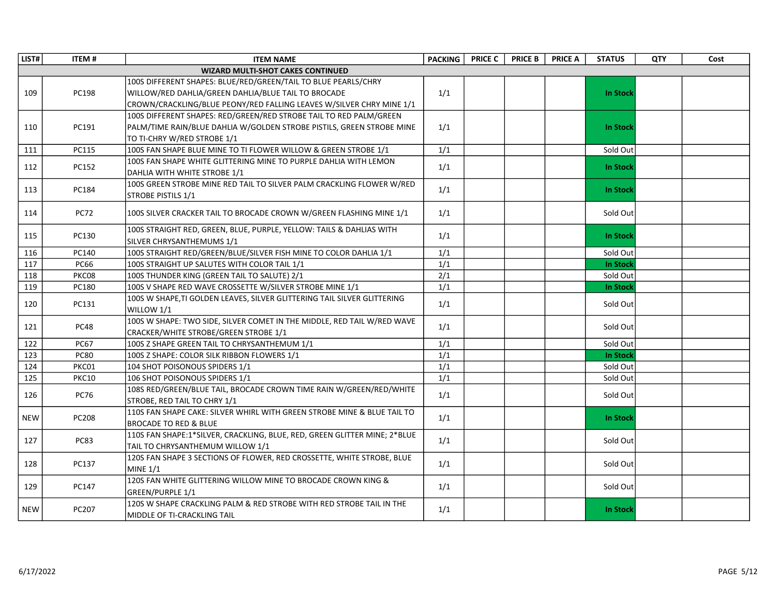| LIST#      | <b>ITEM#</b> | <b>ITEM NAME</b>                                                          | <b>PACKING</b> | <b>PRICE C</b> | <b>PRICE B</b> | <b>PRICE A</b> | <b>STATUS</b>   | <b>QTY</b> | Cost |
|------------|--------------|---------------------------------------------------------------------------|----------------|----------------|----------------|----------------|-----------------|------------|------|
|            |              | <b>WIZARD MULTI-SHOT CAKES CONTINUED</b>                                  |                |                |                |                |                 |            |      |
|            |              | 100S DIFFERENT SHAPES: BLUE/RED/GREEN/TAIL TO BLUE PEARLS/CHRY            |                |                |                |                |                 |            |      |
| 109        | PC198        | WILLOW/RED DAHLIA/GREEN DAHLIA/BLUE TAIL TO BROCADE                       | 1/1            |                |                |                | <b>In Stock</b> |            |      |
|            |              | CROWN/CRACKLING/BLUE PEONY/RED FALLING LEAVES W/SILVER CHRY MINE 1/1      |                |                |                |                |                 |            |      |
|            |              | 100S DIFFERENT SHAPES: RED/GREEN/RED STROBE TAIL TO RED PALM/GREEN        |                |                |                |                |                 |            |      |
| 110        | PC191        | PALM/TIME RAIN/BLUE DAHLIA W/GOLDEN STROBE PISTILS, GREEN STROBE MINE     | 1/1            |                |                |                | <b>In Stock</b> |            |      |
|            |              | TO TI-CHRY W/RED STROBE 1/1                                               |                |                |                |                |                 |            |      |
| 111        | <b>PC115</b> | 100S FAN SHAPE BLUE MINE TO TI FLOWER WILLOW & GREEN STROBE 1/1           | 1/1            |                |                |                | Sold Out        |            |      |
| 112        | PC152        | 100S FAN SHAPE WHITE GLITTERING MINE TO PURPLE DAHLIA WITH LEMON          | 1/1            |                |                |                | <b>In Stock</b> |            |      |
|            |              | DAHLIA WITH WHITE STROBE 1/1                                              |                |                |                |                |                 |            |      |
| 113        | PC184        | 100S GREEN STROBE MINE RED TAIL TO SILVER PALM CRACKLING FLOWER W/RED     | 1/1            |                |                |                | <b>In Stock</b> |            |      |
|            |              | STROBE PISTILS 1/1                                                        |                |                |                |                |                 |            |      |
| 114        | <b>PC72</b>  | 100S SILVER CRACKER TAIL TO BROCADE CROWN W/GREEN FLASHING MINE 1/1       | 1/1            |                |                |                | Sold Out        |            |      |
|            |              |                                                                           |                |                |                |                |                 |            |      |
| 115        | PC130        | 100S STRAIGHT RED, GREEN, BLUE, PURPLE, YELLOW: TAILS & DAHLIAS WITH      | 1/1            |                |                |                | <b>In Stock</b> |            |      |
|            |              | SILVER CHRYSANTHEMUMS 1/1                                                 |                |                |                |                |                 |            |      |
| 116        | PC140        | 100S STRAIGHT RED/GREEN/BLUE/SILVER FISH MINE TO COLOR DAHLIA 1/1         | 1/1            |                |                |                | Sold Out        |            |      |
| 117        | <b>PC66</b>  | 100S STRAIGHT UP SALUTES WITH COLOR TAIL 1/1                              | 1/1            |                |                |                | In Stock        |            |      |
| 118        | PKC08        | 100S THUNDER KING (GREEN TAIL TO SALUTE) 2/1                              | 2/1            |                |                |                | Sold Out        |            |      |
| 119        | PC180        | 100S V SHAPE RED WAVE CROSSETTE W/SILVER STROBE MINE 1/1                  | 1/1            |                |                |                | <b>In Stock</b> |            |      |
| 120        | PC131        | 100S W SHAPE,TI GOLDEN LEAVES, SILVER GLITTERING TAIL SILVER GLITTERING   |                |                |                |                | Sold Out        |            |      |
|            |              | WILLOW 1/1                                                                | 1/1            |                |                |                |                 |            |      |
| 121        | <b>PC48</b>  | 100S W SHAPE: TWO SIDE, SILVER COMET IN THE MIDDLE, RED TAIL W/RED WAVE   | 1/1            |                |                |                | Sold Out        |            |      |
|            |              | CRACKER/WHITE STROBE/GREEN STROBE 1/1                                     |                |                |                |                |                 |            |      |
| 122        | <b>PC67</b>  | 100S Z SHAPE GREEN TAIL TO CHRYSANTHEMUM 1/1                              | 1/1            |                |                |                | Sold Out        |            |      |
| 123        | <b>PC80</b>  | 100S Z SHAPE: COLOR SILK RIBBON FLOWERS 1/1                               | 1/1            |                |                |                | <b>In Stock</b> |            |      |
| 124        | PKC01        | 104 SHOT POISONOUS SPIDERS 1/1                                            | 1/1            |                |                |                | Sold Out        |            |      |
| 125        | <b>PKC10</b> | 106 SHOT POISONOUS SPIDERS 1/1                                            | 1/1            |                |                |                | Sold Out        |            |      |
| 126        | <b>PC76</b>  | 108S RED/GREEN/BLUE TAIL, BROCADE CROWN TIME RAIN W/GREEN/RED/WHITE       | 1/1            |                |                |                | Sold Out        |            |      |
|            |              | STROBE, RED TAIL TO CHRY 1/1                                              |                |                |                |                |                 |            |      |
| <b>NEW</b> | <b>PC208</b> | 110S FAN SHAPE CAKE: SILVER WHIRL WITH GREEN STROBE MINE & BLUE TAIL TO   | 1/1            |                |                |                | <b>In Stock</b> |            |      |
|            |              | <b>BROCADE TO RED &amp; BLUE</b>                                          |                |                |                |                |                 |            |      |
| 127        | <b>PC83</b>  | 110S FAN SHAPE:1*SILVER, CRACKLING, BLUE, RED, GREEN GLITTER MINE; 2*BLUE | 1/1            |                |                |                | Sold Out        |            |      |
|            |              | TAIL TO CHRYSANTHEMUM WILLOW 1/1                                          |                |                |                |                |                 |            |      |
| 128        | PC137        | 120S FAN SHAPE 3 SECTIONS OF FLOWER, RED CROSSETTE, WHITE STROBE, BLUE    | 1/1            |                |                |                | Sold Out        |            |      |
|            |              | MINE $1/1$                                                                |                |                |                |                |                 |            |      |
| 129        | PC147        | 120S FAN WHITE GLITTERING WILLOW MINE TO BROCADE CROWN KING &             | 1/1            |                |                |                | Sold Out        |            |      |
|            |              | GREEN/PURPLE 1/1                                                          |                |                |                |                |                 |            |      |
| <b>NEW</b> | PC207        | 120S W SHAPE CRACKLING PALM & RED STROBE WITH RED STROBE TAIL IN THE      | 1/1            |                |                |                | <b>In Stock</b> |            |      |
|            |              | MIDDLE OF TI-CRACKLING TAIL                                               |                |                |                |                |                 |            |      |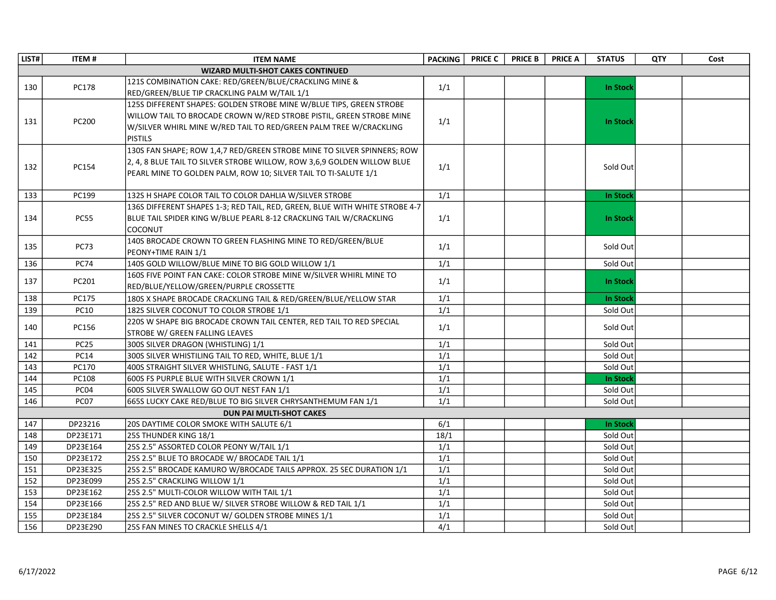| LIST# | <b>ITEM#</b> | <b>ITEM NAME</b>                                                            | <b>PACKING</b> | <b>PRICE C</b> | <b>PRICE B</b> | <b>PRICE A</b> | <b>STATUS</b>   | <b>QTY</b> | Cost |
|-------|--------------|-----------------------------------------------------------------------------|----------------|----------------|----------------|----------------|-----------------|------------|------|
|       |              | <b>WIZARD MULTI-SHOT CAKES CONTINUED</b>                                    |                |                |                |                |                 |            |      |
| 130   | <b>PC178</b> | 121S COMBINATION CAKE: RED/GREEN/BLUE/CRACKLING MINE &                      | 1/1            |                |                |                | In Stock        |            |      |
|       |              | RED/GREEN/BLUE TIP CRACKLING PALM W/TAIL 1/1                                |                |                |                |                |                 |            |      |
|       |              | 125S DIFFERENT SHAPES: GOLDEN STROBE MINE W/BLUE TIPS, GREEN STROBE         |                |                |                |                |                 |            |      |
| 131   | PC200        | WILLOW TAIL TO BROCADE CROWN W/RED STROBE PISTIL, GREEN STROBE MINE         | 1/1            |                |                |                | In Stock        |            |      |
|       |              | W/SILVER WHIRL MINE W/RED TAIL TO RED/GREEN PALM TREE W/CRACKLING           |                |                |                |                |                 |            |      |
|       |              | <b>PISTILS</b>                                                              |                |                |                |                |                 |            |      |
|       |              | 130S FAN SHAPE; ROW 1,4,7 RED/GREEN STROBE MINE TO SILVER SPINNERS; ROW     |                |                |                |                |                 |            |      |
| 132   | PC154        | 2, 4, 8 BLUE TAIL TO SILVER STROBE WILLOW, ROW 3,6,9 GOLDEN WILLOW BLUE     | 1/1            |                |                |                | Sold Out        |            |      |
|       |              | PEARL MINE TO GOLDEN PALM, ROW 10; SILVER TAIL TO TI-SALUTE 1/1             |                |                |                |                |                 |            |      |
|       |              |                                                                             |                |                |                |                |                 |            |      |
| 133   | PC199        | 132S H SHAPE COLOR TAIL TO COLOR DAHLIA W/SILVER STROBE                     | 1/1            |                |                |                | <b>In Stock</b> |            |      |
|       |              | 136S DIFFERENT SHAPES 1-3; RED TAIL, RED, GREEN, BLUE WITH WHITE STROBE 4-7 |                |                |                |                |                 |            |      |
| 134   | <b>PC55</b>  | BLUE TAIL SPIDER KING W/BLUE PEARL 8-12 CRACKLING TAIL W/CRACKLING          | 1/1            |                |                |                | <b>In Stock</b> |            |      |
|       |              | COCONUT                                                                     |                |                |                |                |                 |            |      |
| 135   | <b>PC73</b>  | 140S BROCADE CROWN TO GREEN FLASHING MINE TO RED/GREEN/BLUE                 | 1/1            |                |                |                | Sold Out        |            |      |
|       |              | PEONY+TIME RAIN 1/1                                                         |                |                |                |                |                 |            |      |
| 136   | <b>PC74</b>  | 140S GOLD WILLOW/BLUE MINE TO BIG GOLD WILLOW 1/1                           | 1/1            |                |                |                | Sold Out        |            |      |
| 137   | PC201        | 160S FIVE POINT FAN CAKE: COLOR STROBE MINE W/SILVER WHIRL MINE TO          | 1/1            |                |                |                | <b>In Stock</b> |            |      |
|       |              | RED/BLUE/YELLOW/GREEN/PURPLE CROSSETTE                                      |                |                |                |                |                 |            |      |
| 138   | PC175        | 180S X SHAPE BROCADE CRACKLING TAIL & RED/GREEN/BLUE/YELLOW STAR            | 1/1            |                |                |                | <b>In Stock</b> |            |      |
| 139   | <b>PC10</b>  | 182S SILVER COCONUT TO COLOR STROBE 1/1                                     | 1/1            |                |                |                | Sold Out        |            |      |
| 140   | PC156        | 220S W SHAPE BIG BROCADE CROWN TAIL CENTER, RED TAIL TO RED SPECIAL         | 1/1            |                |                |                | Sold Out        |            |      |
|       |              | STROBE W/ GREEN FALLING LEAVES                                              |                |                |                |                |                 |            |      |
| 141   | <b>PC25</b>  | 300S SILVER DRAGON (WHISTLING) 1/1                                          | 1/1            |                |                |                | Sold Out        |            |      |
| 142   | <b>PC14</b>  | 300S SILVER WHISTILING TAIL TO RED, WHITE, BLUE 1/1                         | 1/1            |                |                |                | Sold Out        |            |      |
| 143   | PC170        | 400S STRAIGHT SILVER WHISTLING, SALUTE - FAST 1/1                           | 1/1            |                |                |                | Sold Out        |            |      |
| 144   | PC108        | 600S FS PURPLE BLUE WITH SILVER CROWN 1/1                                   | 1/1            |                |                |                | <b>In Stock</b> |            |      |
| 145   | PC04         | 600S SILVER SWALLOW GO OUT NEST FAN 1/1                                     | 1/1            |                |                |                | Sold Out        |            |      |
| 146   | PC07         | 665S LUCKY CAKE RED/BLUE TO BIG SILVER CHRYSANTHEMUM FAN 1/1                | 1/1            |                |                |                | Sold Out        |            |      |
|       |              | <b>DUN PAI MULTI-SHOT CAKES</b>                                             |                |                |                |                |                 |            |      |
| 147   | DP23216      | 20S DAYTIME COLOR SMOKE WITH SALUTE 6/1                                     | 6/1            |                |                |                | <b>In Stock</b> |            |      |
| 148   | DP23E171     | 25S THUNDER KING 18/1                                                       | 18/1           |                |                |                | Sold Out        |            |      |
| 149   | DP23E164     | 25S 2.5" ASSORTED COLOR PEONY W/TAIL 1/1                                    | 1/1            |                |                |                | Sold Out        |            |      |
| 150   | DP23E172     | 25S 2.5" BLUE TO BROCADE W/ BROCADE TAIL 1/1                                | 1/1            |                |                |                | Sold Out        |            |      |
| 151   | DP23E325     | 25S 2.5" BROCADE KAMURO W/BROCADE TAILS APPROX. 25 SEC DURATION 1/1         | 1/1            |                |                |                | Sold Out        |            |      |
| 152   | DP23E099     | 25S 2.5" CRACKLING WILLOW 1/1                                               | 1/1            |                |                |                | Sold Out        |            |      |
| 153   | DP23E162     | 25S 2.5" MULTI-COLOR WILLOW WITH TAIL 1/1                                   | 1/1            |                |                |                | Sold Out        |            |      |
| 154   | DP23E166     | 25S 2.5" RED AND BLUE W/ SILVER STROBE WILLOW & RED TAIL 1/1                | 1/1            |                |                |                | Sold Out        |            |      |
| 155   | DP23E184     | 25S 2.5" SILVER COCONUT W/ GOLDEN STROBE MINES 1/1                          | 1/1            |                |                |                | Sold Out        |            |      |
| 156   | DP23E290     | 25S FAN MINES TO CRACKLE SHELLS 4/1                                         | 4/1            |                |                |                | Sold Out        |            |      |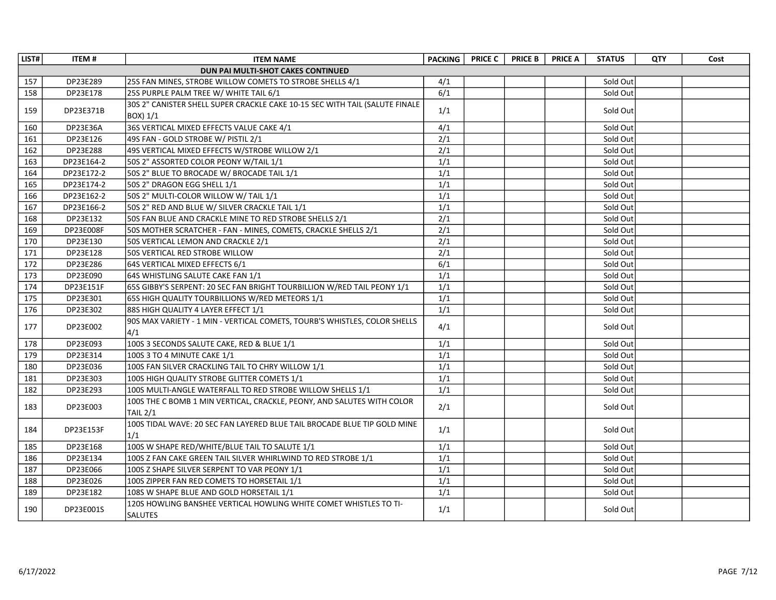| LIST# | <b>ITEM#</b> | <b>ITEM NAME</b>                                                            | <b>PACKING</b>   | <b>PRICE C</b> | <b>PRICE B</b> | <b>PRICE A</b> | <b>STATUS</b> | QTY | Cost |
|-------|--------------|-----------------------------------------------------------------------------|------------------|----------------|----------------|----------------|---------------|-----|------|
|       |              | DUN PAI MULTI-SHOT CAKES CONTINUED                                          |                  |                |                |                |               |     |      |
| 157   | DP23E289     | 25S FAN MINES, STROBE WILLOW COMETS TO STROBE SHELLS 4/1                    | 4/1              |                |                |                | Sold Out      |     |      |
| 158   | DP23E178     | 25S PURPLE PALM TREE W/ WHITE TAIL 6/1                                      | 6/1              |                |                |                | Sold Out      |     |      |
|       | DP23E371B    | 30S 2" CANISTER SHELL SUPER CRACKLE CAKE 10-15 SEC WITH TAIL (SALUTE FINALE | 1/1              |                |                |                |               |     |      |
| 159   |              | BOX) 1/1                                                                    |                  |                |                |                | Sold Out      |     |      |
| 160   | DP23E36A     | 36S VERTICAL MIXED EFFECTS VALUE CAKE 4/1                                   | 4/1              |                |                |                | Sold Out      |     |      |
| 161   | DP23E126     | 49S FAN - GOLD STROBE W/ PISTIL 2/1                                         | $\overline{2/1}$ |                |                |                | Sold Out      |     |      |
| 162   | DP23E288     | 49S VERTICAL MIXED EFFECTS W/STROBE WILLOW 2/1                              | 2/1              |                |                |                | Sold Out      |     |      |
| 163   | DP23E164-2   | 50S 2" ASSORTED COLOR PEONY W/TAIL 1/1                                      | 1/1              |                |                |                | Sold Out      |     |      |
| 164   | DP23E172-2   | 50S 2" BLUE TO BROCADE W/ BROCADE TAIL 1/1                                  | 1/1              |                |                |                | Sold Out      |     |      |
| 165   | DP23E174-2   | 50S 2" DRAGON EGG SHELL 1/1                                                 | 1/1              |                |                |                | Sold Out      |     |      |
| 166   | DP23E162-2   | 50S 2" MULTI-COLOR WILLOW W/ TAIL 1/1                                       | $\overline{1/1}$ |                |                |                | Sold Out      |     |      |
| 167   | DP23E166-2   | 50S 2" RED AND BLUE W/ SILVER CRACKLE TAIL 1/1                              | 1/1              |                |                |                | Sold Out      |     |      |
| 168   | DP23E132     | 50S FAN BLUE AND CRACKLE MINE TO RED STROBE SHELLS 2/1                      | 2/1              |                |                |                | Sold Out      |     |      |
| 169   | DP23E008F    | 50S MOTHER SCRATCHER - FAN - MINES, COMETS, CRACKLE SHELLS 2/1              | 2/1              |                |                |                | Sold Out      |     |      |
| 170   | DP23E130     | 50S VERTICAL LEMON AND CRACKLE 2/1                                          | 2/1              |                |                |                | Sold Out      |     |      |
| 171   | DP23E128     | 50S VERTICAL RED STROBE WILLOW                                              | 2/1              |                |                |                | Sold Out      |     |      |
| 172   | DP23E286     | 64S VERTICAL MIXED EFFECTS 6/1                                              | $\overline{6/1}$ |                |                |                | Sold Out      |     |      |
| 173   | DP23E090     | 64S WHISTLING SALUTE CAKE FAN 1/1                                           | $\overline{1/1}$ |                |                |                | Sold Out      |     |      |
| 174   | DP23E151F    | 65S GIBBY'S SERPENT: 20 SEC FAN BRIGHT TOURBILLION W/RED TAIL PEONY 1/1     | 1/1              |                |                |                | Sold Out      |     |      |
| 175   | DP23E301     | 65S HIGH QUALITY TOURBILLIONS W/RED METEORS 1/1                             | 1/1              |                |                |                | Sold Out      |     |      |
| 176   | DP23E302     | 88S HIGH QUALITY 4 LAYER EFFECT 1/1                                         | 1/1              |                |                |                | Sold Out      |     |      |
| 177   | DP23E002     | 90S MAX VARIETY - 1 MIN - VERTICAL COMETS, TOURB'S WHISTLES, COLOR SHELLS   | 4/1              |                |                |                | Sold Out      |     |      |
|       |              | 4/1                                                                         |                  |                |                |                |               |     |      |
| 178   | DP23E093     | 100S 3 SECONDS SALUTE CAKE, RED & BLUE 1/1                                  | 1/1              |                |                |                | Sold Out      |     |      |
| 179   | DP23E314     | 100S 3 TO 4 MINUTE CAKE 1/1                                                 | 1/1              |                |                |                | Sold Out      |     |      |
| 180   | DP23E036     | 100S FAN SILVER CRACKLING TAIL TO CHRY WILLOW 1/1                           | 1/1              |                |                |                | Sold Out      |     |      |
| 181   | DP23E303     | 100S HIGH QUALITY STROBE GLITTER COMETS 1/1                                 | 1/1              |                |                |                | Sold Out      |     |      |
| 182   | DP23E293     | 100S MULTI-ANGLE WATERFALL TO RED STROBE WILLOW SHELLS 1/1                  | 1/1              |                |                |                | Sold Out      |     |      |
| 183   | DP23E003     | 100S THE C BOMB 1 MIN VERTICAL, CRACKLE, PEONY, AND SALUTES WITH COLOR      | 2/1              |                |                |                | Sold Out      |     |      |
|       |              | <b>TAIL 2/1</b>                                                             |                  |                |                |                |               |     |      |
| 184   | DP23E153F    | 100S TIDAL WAVE: 20 SEC FAN LAYERED BLUE TAIL BROCADE BLUE TIP GOLD MINE    | 1/1              |                |                |                | Sold Out      |     |      |
|       |              | 1/1                                                                         |                  |                |                |                |               |     |      |
| 185   | DP23E168     | 100S W SHAPE RED/WHITE/BLUE TAIL TO SALUTE 1/1                              | 1/1              |                |                |                | Sold Out      |     |      |
| 186   | DP23E134     | 100S Z FAN CAKE GREEN TAIL SILVER WHIRLWIND TO RED STROBE 1/1               | 1/1              |                |                |                | Sold Out      |     |      |
| 187   | DP23E066     | 100S Z SHAPE SILVER SERPENT TO VAR PEONY 1/1                                | 1/1              |                |                |                | Sold Out      |     |      |
| 188   | DP23E026     | 100S ZIPPER FAN RED COMETS TO HORSETAIL 1/1                                 | 1/1              |                |                |                | Sold Out      |     |      |
| 189   | DP23E182     | 108S W SHAPE BLUE AND GOLD HORSETAIL 1/1                                    | 1/1              |                |                |                | Sold Out      |     |      |
| 190   | DP23E001S    | 120S HOWLING BANSHEE VERTICAL HOWLING WHITE COMET WHISTLES TO TI-           | 1/1              |                |                |                | Sold Out      |     |      |
|       |              | <b>SALUTES</b>                                                              |                  |                |                |                |               |     |      |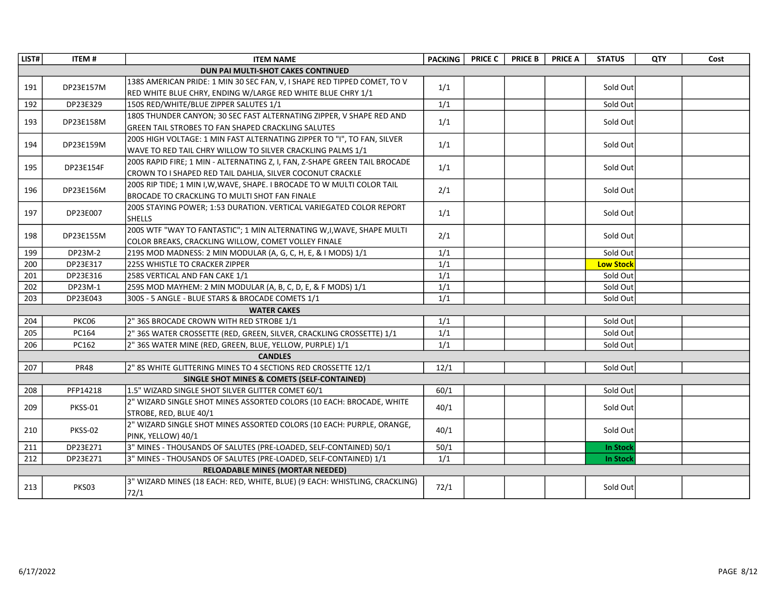| LIST# | <b>ITEM#</b> | <b>ITEM NAME</b>                                                                                      | <b>PACKING</b> | <b>PRICE C</b> | <b>PRICE B</b> | <b>PRICE A</b> | <b>STATUS</b>    | QTY | Cost |
|-------|--------------|-------------------------------------------------------------------------------------------------------|----------------|----------------|----------------|----------------|------------------|-----|------|
|       |              | DUN PAI MULTI-SHOT CAKES CONTINUED                                                                    |                |                |                |                |                  |     |      |
| 191   | DP23E157M    | 138S AMERICAN PRIDE: 1 MIN 30 SEC FAN, V, I SHAPE RED TIPPED COMET, TO V                              | 1/1            |                |                |                | Sold Out         |     |      |
| 192   | DP23E329     | RED WHITE BLUE CHRY, ENDING W/LARGE RED WHITE BLUE CHRY 1/1<br>150S RED/WHITE/BLUE ZIPPER SALUTES 1/1 | 1/1            |                |                |                | Sold Out         |     |      |
|       |              | 180S THUNDER CANYON; 30 SEC FAST ALTERNATING ZIPPER, V SHAPE RED AND                                  |                |                |                |                |                  |     |      |
| 193   | DP23E158M    | GREEN TAIL STROBES TO FAN SHAPED CRACKLING SALUTES                                                    | 1/1            |                |                |                | Sold Out         |     |      |
|       |              | 200S HIGH VOLTAGE: 1 MIN FAST ALTERNATING ZIPPER TO "I", TO FAN, SILVER                               |                |                |                |                |                  |     |      |
| 194   | DP23E159M    | WAVE TO RED TAIL CHRY WILLOW TO SILVER CRACKLING PALMS 1/1                                            | 1/1            |                |                |                | Sold Out         |     |      |
|       |              | 200S RAPID FIRE; 1 MIN - ALTERNATING Z, I, FAN, Z-SHAPE GREEN TAIL BROCADE                            |                |                |                |                |                  |     |      |
| 195   | DP23E154F    | CROWN TO I SHAPED RED TAIL DAHLIA, SILVER COCONUT CRACKLE                                             | 1/1            |                |                |                | Sold Out         |     |      |
|       |              | 200S RIP TIDE; 1 MIN I, W, WAVE, SHAPE. I BROCADE TO W MULTI COLOR TAIL                               |                |                |                |                |                  |     |      |
| 196   | DP23E156M    | BROCADE TO CRACKLING TO MULTI SHOT FAN FINALE                                                         | 2/1            |                |                |                | Sold Out         |     |      |
|       |              | 200S STAYING POWER; 1:53 DURATION. VERTICAL VARIEGATED COLOR REPORT                                   |                |                |                |                |                  |     |      |
| 197   | DP23E007     | <b>SHELLS</b>                                                                                         | 1/1            |                |                |                | Sold Out         |     |      |
|       |              | 200S WTF "WAY TO FANTASTIC"; 1 MIN ALTERNATING W, I, WAVE, SHAPE MULTI                                |                |                |                |                |                  |     |      |
| 198   | DP23E155M    | COLOR BREAKS, CRACKLING WILLOW, COMET VOLLEY FINALE                                                   | 2/1            |                |                |                | Sold Out         |     |      |
| 199   | DP23M-2      | 219S MOD MADNESS: 2 MIN MODULAR (A, G, C, H, E, & I MODS) 1/1                                         | 1/1            |                |                |                | Sold Out         |     |      |
| 200   | DP23E317     | 225S WHISTLE TO CRACKER ZIPPER                                                                        | 1/1            |                |                |                | <b>Low Stock</b> |     |      |
| 201   | DP23E316     | 258S VERTICAL AND FAN CAKE 1/1                                                                        | 1/1            |                |                |                | Sold Out         |     |      |
| 202   | DP23M-1      | 259S MOD MAYHEM: 2 MIN MODULAR (A, B, C, D, E, & F MODS) 1/1                                          | 1/1            |                |                |                | Sold Out         |     |      |
| 203   | DP23E043     | 300S - 5 ANGLE - BLUE STARS & BROCADE COMETS 1/1                                                      | 1/1            |                |                |                | Sold Out         |     |      |
|       |              | <b>WATER CAKES</b>                                                                                    |                |                |                |                |                  |     |      |
| 204   | PKC06        | 2" 36S BROCADE CROWN WITH RED STROBE 1/1                                                              | 1/1            |                |                |                | Sold Out         |     |      |
| 205   | PC164        | 2" 36S WATER CROSSETTE (RED, GREEN, SILVER, CRACKLING CROSSETTE) 1/1                                  | 1/1            |                |                |                | Sold Out         |     |      |
| 206   | PC162        | 2" 36S WATER MINE (RED, GREEN, BLUE, YELLOW, PURPLE) 1/1                                              | 1/1            |                |                |                | Sold Out         |     |      |
|       |              | <b>CANDLES</b>                                                                                        |                |                |                |                |                  |     |      |
| 207   | <b>PR48</b>  | 2" 8S WHITE GLITTERING MINES TO 4 SECTIONS RED CROSSETTE 12/1                                         | 12/1           |                |                |                | Sold Out         |     |      |
|       |              | SINGLE SHOT MINES & COMETS (SELF-CONTAINED)                                                           |                |                |                |                |                  |     |      |
| 208   | PFP14218     | 1.5" WIZARD SINGLE SHOT SILVER GLITTER COMET 60/1                                                     | 60/1           |                |                |                | Sold Out         |     |      |
|       |              | 2" WIZARD SINGLE SHOT MINES ASSORTED COLORS (10 EACH: BROCADE, WHITE                                  |                |                |                |                |                  |     |      |
| 209   | PKSS-01      | STROBE, RED, BLUE 40/1                                                                                | 40/1           |                |                |                | Sold Out         |     |      |
|       |              | 2" WIZARD SINGLE SHOT MINES ASSORTED COLORS (10 EACH: PURPLE, ORANGE,                                 |                |                |                |                |                  |     |      |
| 210   | PKSS-02      | PINK, YELLOW) 40/1                                                                                    | 40/1           |                |                |                | Sold Out         |     |      |
| 211   | DP23E271     | 3" MINES - THOUSANDS OF SALUTES (PRE-LOADED, SELF-CONTAINED) 50/1                                     | 50/1           |                |                |                | <b>In Stock</b>  |     |      |
| 212   | DP23E271     | 3" MINES - THOUSANDS OF SALUTES (PRE-LOADED, SELF-CONTAINED) 1/1                                      | 1/1            |                |                |                | <b>In Stock</b>  |     |      |
|       |              | <b>RELOADABLE MINES (MORTAR NEEDED)</b>                                                               |                |                |                |                |                  |     |      |
| 213   | PKS03        | 3" WIZARD MINES (18 EACH: RED, WHITE, BLUE) (9 EACH: WHISTLING, CRACKLING)<br>72/1                    | 72/1           |                |                |                | Sold Out         |     |      |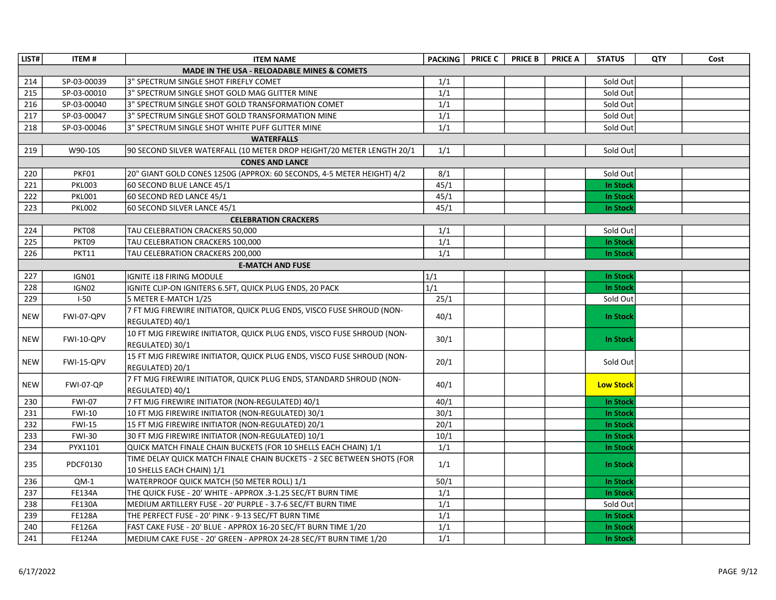| LIST#      | <b>ITEM#</b>  | <b>ITEM NAME</b>                                                                                    | <b>PACKING</b>   | <b>PRICE C</b> | <b>PRICE B</b> | <b>PRICE A</b> | <b>STATUS</b>    | <b>QTY</b> | Cost |
|------------|---------------|-----------------------------------------------------------------------------------------------------|------------------|----------------|----------------|----------------|------------------|------------|------|
|            |               | <b>MADE IN THE USA - RELOADABLE MINES &amp; COMETS</b>                                              |                  |                |                |                |                  |            |      |
| 214        | SP-03-00039   | 3" SPECTRUM SINGLE SHOT FIREFLY COMET                                                               | 1/1              |                |                |                | Sold Out         |            |      |
| 215        | SP-03-00010   | 3" SPECTRUM SINGLE SHOT GOLD MAG GLITTER MINE                                                       | 1/1              |                |                |                | Sold Out         |            |      |
| 216        | SP-03-00040   | 3" SPECTRUM SINGLE SHOT GOLD TRANSFORMATION COMET                                                   | 1/1              |                |                |                | Sold Out         |            |      |
| 217        | SP-03-00047   | 3" SPECTRUM SINGLE SHOT GOLD TRANSFORMATION MINE                                                    | 1/1              |                |                |                | Sold Out         |            |      |
| 218        | SP-03-00046   | 3" SPECTRUM SINGLE SHOT WHITE PUFF GLITTER MINE                                                     | 1/1              |                |                |                | Sold Out         |            |      |
|            |               | <b>WATERFALLS</b>                                                                                   |                  |                |                |                |                  |            |      |
| 219        | W90-10S       | 90 SECOND SILVER WATERFALL (10 METER DROP HEIGHT/20 METER LENGTH 20/1                               | 1/1              |                |                |                | Sold Out         |            |      |
|            |               | <b>CONES AND LANCE</b>                                                                              |                  |                |                |                |                  |            |      |
| 220        | PKF01         | 20" GIANT GOLD CONES 1250G (APPROX: 60 SECONDS, 4-5 METER HEIGHT) 4/2                               | 8/1              |                |                |                | Sold Out         |            |      |
| 221        | <b>PKL003</b> | 60 SECOND BLUE LANCE 45/1                                                                           | 45/1             |                |                |                | <b>In Stock</b>  |            |      |
| 222        | <b>PKL001</b> | 60 SECOND RED LANCE 45/1                                                                            | 45/1             |                |                |                | In Stock         |            |      |
| 223        | <b>PKL002</b> | 60 SECOND SILVER LANCE 45/1                                                                         | 45/1             |                |                |                | <b>In Stock</b>  |            |      |
|            |               | <b>CELEBRATION CRACKERS</b>                                                                         |                  |                |                |                |                  |            |      |
| 224        | PKT08         | TAU CELEBRATION CRACKERS 50,000                                                                     | 1/1              |                |                |                | Sold Out         |            |      |
| 225        | PKT09         | TAU CELEBRATION CRACKERS 100,000                                                                    | 1/1              |                |                |                | In Stock         |            |      |
| 226        | <b>PKT11</b>  | TAU CELEBRATION CRACKERS 200,000                                                                    | 1/1              |                |                |                | <b>In Stock</b>  |            |      |
|            |               | <b>E-MATCH AND FUSE</b>                                                                             |                  |                |                |                |                  |            |      |
| 227        | IGN01         | <b>IGNITE I18 FIRING MODULE</b>                                                                     | 1/1              |                |                |                | In Stock         |            |      |
| 228        | IGN02         | IGNITE CLIP-ON IGNITERS 6.5FT, QUICK PLUG ENDS, 20 PACK                                             | $\overline{1/1}$ |                |                |                | <b>In Stock</b>  |            |      |
| 229        | $I-50$        | 5 METER E-MATCH 1/25                                                                                | 25/1             |                |                |                | Sold Out         |            |      |
| <b>NEW</b> | FWI-07-QPV    | 7 FT MJG FIREWIRE INITIATOR, QUICK PLUG ENDS, VISCO FUSE SHROUD (NON-<br>REGULATED) 40/1            | 40/1             |                |                |                | <b>In Stock</b>  |            |      |
| <b>NEW</b> | FWI-10-QPV    | 10 FT MJG FIREWIRE INITIATOR, QUICK PLUG ENDS, VISCO FUSE SHROUD (NON-<br>REGULATED) 30/1           | 30/1             |                |                |                | <b>In Stock</b>  |            |      |
| <b>NEW</b> | FWI-15-QPV    | 15 FT MJG FIREWIRE INITIATOR, QUICK PLUG ENDS, VISCO FUSE SHROUD (NON-<br>REGULATED) 20/1           | 20/1             |                |                |                | Sold Out         |            |      |
| <b>NEW</b> | FWI-07-QP     | 7 FT MJG FIREWIRE INITIATOR, QUICK PLUG ENDS, STANDARD SHROUD (NON-<br>REGULATED) 40/1              | 40/1             |                |                |                | <b>Low Stock</b> |            |      |
| 230        | <b>FWI-07</b> | 7 FT MJG FIREWIRE INITIATOR (NON-REGULATED) 40/1                                                    | 40/1             |                |                |                | In Stock         |            |      |
| 231        | <b>FWI-10</b> | 10 FT MJG FIREWIRE INITIATOR (NON-REGULATED) 30/1                                                   | 30/1             |                |                |                | <b>In Stock</b>  |            |      |
| 232        | <b>FWI-15</b> | 15 FT MJG FIREWIRE INITIATOR (NON-REGULATED) 20/1                                                   | 20/1             |                |                |                | <b>In Stock</b>  |            |      |
| 233        | <b>FWI-30</b> | 30 FT MJG FIREWIRE INITIATOR (NON-REGULATED) 10/1                                                   | 10/1             |                |                |                | <b>In Stock</b>  |            |      |
| 234        | PYX1101       | QUICK MATCH FINALE CHAIN BUCKETS (FOR 10 SHELLS EACH CHAIN) 1/1                                     | 1/1              |                |                |                | <b>In Stock</b>  |            |      |
| 235        | PDCF0130      | TIME DELAY QUICK MATCH FINALE CHAIN BUCKETS - 2 SEC BETWEEN SHOTS (FOR<br>10 SHELLS EACH CHAIN) 1/1 | 1/1              |                |                |                | <b>In Stock</b>  |            |      |
| 236        | $QM-1$        | WATERPROOF QUICK MATCH (50 METER ROLL) 1/1                                                          | 50/1             |                |                |                | In Stock         |            |      |
| 237        | <b>FE134A</b> | THE QUICK FUSE - 20' WHITE - APPROX .3-1.25 SEC/FT BURN TIME                                        | 1/1              |                |                |                | <b>In Stock</b>  |            |      |
| 238        | <b>FE130A</b> | MEDIUM ARTILLERY FUSE - 20' PURPLE - 3.7-6 SEC/FT BURN TIME                                         | 1/1              |                |                |                | Sold Out         |            |      |
| 239        | <b>FE128A</b> | THE PERFECT FUSE - 20' PINK - 9-13 SEC/FT BURN TIME                                                 | 1/1              |                |                |                | In Stock         |            |      |
| 240        | <b>FE126A</b> | FAST CAKE FUSE - 20' BLUE - APPROX 16-20 SEC/FT BURN TIME 1/20                                      | 1/1              |                |                |                | In Stock         |            |      |
| 241        | <b>FE124A</b> | MEDIUM CAKE FUSE - 20' GREEN - APPROX 24-28 SEC/FT BURN TIME 1/20                                   | $\overline{1/1}$ |                |                |                | <b>In Stock</b>  |            |      |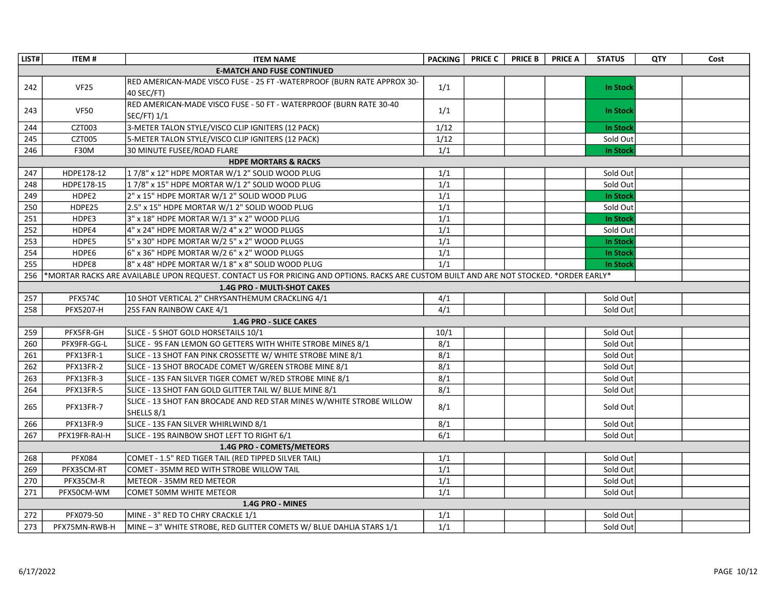| LIST# | <b>ITEM#</b>                                                                                                                            | <b>ITEM NAME</b>                                                                     | <b>PACKING</b>   | <b>PRICE C</b> | <b>PRICE B</b> | <b>PRICE A</b> | <b>STATUS</b>   | QTY | Cost |  |  |  |
|-------|-----------------------------------------------------------------------------------------------------------------------------------------|--------------------------------------------------------------------------------------|------------------|----------------|----------------|----------------|-----------------|-----|------|--|--|--|
|       |                                                                                                                                         | <b>E-MATCH AND FUSE CONTINUED</b>                                                    |                  |                |                |                |                 |     |      |  |  |  |
| 242   | VF25                                                                                                                                    | RED AMERICAN-MADE VISCO FUSE - 25 FT -WATERPROOF (BURN RATE APPROX 30-<br>40 SEC/FT) | 1/1              |                |                |                | <b>In Stock</b> |     |      |  |  |  |
| 243   | <b>VF50</b>                                                                                                                             | RED AMERICAN-MADE VISCO FUSE - 50 FT - WATERPROOF (BURN RATE 30-40<br>SEC/FT) 1/1    | 1/1              |                |                |                | <b>In Stock</b> |     |      |  |  |  |
| 244   | CZT003                                                                                                                                  | 3-METER TALON STYLE/VISCO CLIP IGNITERS (12 PACK)                                    | 1/12             |                |                |                | <b>In Stock</b> |     |      |  |  |  |
| 245   | CZT005                                                                                                                                  | 5-METER TALON STYLE/VISCO CLIP IGNITERS (12 PACK)                                    | 1/12             |                |                |                | Sold Out        |     |      |  |  |  |
| 246   | <b>F30M</b>                                                                                                                             | 30 MINUTE FUSEE/ROAD FLARE                                                           | 1/1              |                |                |                | In Stock        |     |      |  |  |  |
|       |                                                                                                                                         | <b>HDPE MORTARS &amp; RACKS</b>                                                      |                  |                |                |                |                 |     |      |  |  |  |
| 247   | HDPE178-12                                                                                                                              | 17/8" x 12" HDPE MORTAR W/1 2" SOLID WOOD PLUG                                       | 1/1              |                |                |                | Sold Out        |     |      |  |  |  |
| 248   | HDPE178-15                                                                                                                              | 17/8" x 15" HDPE MORTAR W/1 2" SOLID WOOD PLUG                                       | 1/1              |                |                |                | Sold Out        |     |      |  |  |  |
| 249   | HDPE2                                                                                                                                   | 2" x 15" HDPE MORTAR W/1 2" SOLID WOOD PLUG                                          | 1/1              |                |                |                | In Stock        |     |      |  |  |  |
| 250   | HDPE25                                                                                                                                  | 2.5" x 15" HDPE MORTAR W/1 2" SOLID WOOD PLUG                                        | 1/1              |                |                |                | Sold Out        |     |      |  |  |  |
| 251   | HDPE3                                                                                                                                   | 3" x 18" HDPE MORTAR W/1 3" x 2" WOOD PLUG                                           | 1/1              |                |                |                | In Stock        |     |      |  |  |  |
| 252   | HDPE4                                                                                                                                   | 4" x 24" HDPE MORTAR W/2 4" x 2" WOOD PLUGS                                          | $\overline{1/1}$ |                |                |                | Sold Out        |     |      |  |  |  |
| 253   | HDPE5                                                                                                                                   | 5" x 30" HDPE MORTAR W/2 5" x 2" WOOD PLUGS                                          | 1/1              |                |                |                | In Stock        |     |      |  |  |  |
| 254   | HDPE6                                                                                                                                   | 6" x 36" HDPE MORTAR W/2 6" x 2" WOOD PLUGS                                          | 1/1              |                |                |                | <b>In Stock</b> |     |      |  |  |  |
| 255   | HDPE8                                                                                                                                   | 8" x 48" HDPE MORTAR W/18" x 8" SOLID WOOD PLUG                                      | $\overline{1/1}$ |                |                |                | <b>In Stock</b> |     |      |  |  |  |
| 256   | *MORTAR RACKS ARE AVAILABLE UPON REQUEST. CONTACT US FOR PRICING AND OPTIONS. RACKS ARE CUSTOM BUILT AND ARE NOT STOCKED. *ORDER EARLY* |                                                                                      |                  |                |                |                |                 |     |      |  |  |  |
|       | <b>1.4G PRO - MULTI-SHOT CAKES</b>                                                                                                      |                                                                                      |                  |                |                |                |                 |     |      |  |  |  |
| 257   | PFX574C                                                                                                                                 | 10 SHOT VERTICAL 2" CHRYSANTHEMUM CRACKLING 4/1                                      | 4/1              |                |                |                | Sold Out        |     |      |  |  |  |
| 258   | PFX5207-H                                                                                                                               | 25S FAN RAINBOW CAKE 4/1                                                             | 4/1              |                |                |                | Sold Out        |     |      |  |  |  |
|       |                                                                                                                                         | 1.4G PRO - SLICE CAKES                                                               |                  |                |                |                |                 |     |      |  |  |  |
| 259   | PFX5FR-GH                                                                                                                               | SLICE - 5 SHOT GOLD HORSETAILS 10/1                                                  | 10/1             |                |                |                | Sold Out        |     |      |  |  |  |
| 260   | PFX9FR-GG-L                                                                                                                             | SLICE - 9S FAN LEMON GO GETTERS WITH WHITE STROBE MINES 8/1                          | 8/1              |                |                |                | Sold Out        |     |      |  |  |  |
| 261   | PFX13FR-1                                                                                                                               | SLICE - 13 SHOT FAN PINK CROSSETTE W/ WHITE STROBE MINE 8/1                          | 8/1              |                |                |                | Sold Out        |     |      |  |  |  |
| 262   | PFX13FR-2                                                                                                                               | SLICE - 13 SHOT BROCADE COMET W/GREEN STROBE MINE 8/1                                | 8/1              |                |                |                | Sold Out        |     |      |  |  |  |
| 263   | PFX13FR-3                                                                                                                               | SLICE - 13S FAN SILVER TIGER COMET W/RED STROBE MINE 8/1                             | 8/1              |                |                |                | Sold Out        |     |      |  |  |  |
| 264   | PFX13FR-5                                                                                                                               | SLICE - 13 SHOT FAN GOLD GLITTER TAIL W/ BLUE MINE 8/1                               | 8/1              |                |                |                | Sold Out        |     |      |  |  |  |
| 265   | PFX13FR-7                                                                                                                               | SLICE - 13 SHOT FAN BROCADE AND RED STAR MINES W/WHITE STROBE WILLOW<br>SHELLS 8/1   | 8/1              |                |                |                | Sold Out        |     |      |  |  |  |
| 266   | PFX13FR-9                                                                                                                               | SLICE - 13S FAN SILVER WHIRLWIND 8/1                                                 | 8/1              |                |                |                | Sold Out        |     |      |  |  |  |
| 267   | PFX19FR-RAI-H                                                                                                                           | SLICE - 19S RAINBOW SHOT LEFT TO RIGHT 6/1                                           | 6/1              |                |                |                | Sold Out        |     |      |  |  |  |
|       |                                                                                                                                         | 1.4G PRO - COMETS/METEORS                                                            |                  |                |                |                |                 |     |      |  |  |  |
| 268   | <b>PFX084</b>                                                                                                                           | COMET - 1.5" RED TIGER TAIL (RED TIPPED SILVER TAIL)                                 | 1/1              |                |                |                | Sold Out        |     |      |  |  |  |
| 269   | PFX35CM-RT                                                                                                                              | COMET - 35MM RED WITH STROBE WILLOW TAIL                                             | 1/1              |                |                |                | Sold Out        |     |      |  |  |  |
| 270   | PFX35CM-R                                                                                                                               | METEOR - 35MM RED METEOR                                                             | $\overline{1/1}$ |                |                |                | Sold Out        |     |      |  |  |  |
| 271   | PFX50CM-WM                                                                                                                              | COMET 50MM WHITE METEOR                                                              | 1/1              |                |                |                | Sold Out        |     |      |  |  |  |
|       |                                                                                                                                         | 1.4G PRO - MINES                                                                     |                  |                |                |                |                 |     |      |  |  |  |
| 272   | PFX079-50                                                                                                                               | MINE - 3" RED TO CHRY CRACKLE 1/1                                                    | 1/1              |                |                |                | Sold Out        |     |      |  |  |  |
| 273   | PFX75MN-RWB-H                                                                                                                           | MINE - 3" WHITE STROBE, RED GLITTER COMETS W/ BLUE DAHLIA STARS 1/1                  | 1/1              |                |                |                | Sold Out        |     |      |  |  |  |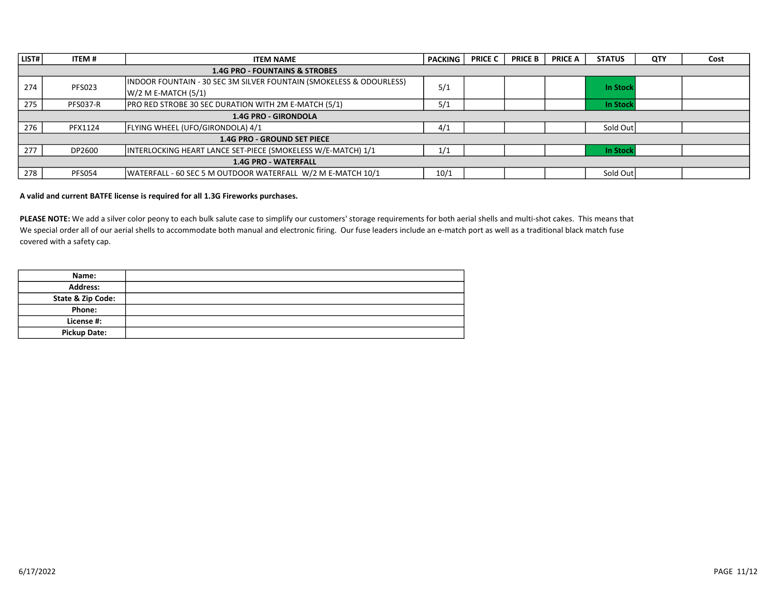| LIST# | <b>ITEM#</b>                              | <b>ITEM NAME</b>                                                    | <b>PACKING</b> | <b>PRICE C</b> | <b>PRICE B</b> | <b>PRICE A</b> | <b>STATUS</b>   | <b>QTY</b> | Cost |  |  |
|-------|-------------------------------------------|---------------------------------------------------------------------|----------------|----------------|----------------|----------------|-----------------|------------|------|--|--|
|       | <b>1.4G PRO - FOUNTAINS &amp; STROBES</b> |                                                                     |                |                |                |                |                 |            |      |  |  |
| 274   | <b>PFS023</b>                             | INDOOR FOUNTAIN - 30 SEC 3M SILVER FOUNTAIN (SMOKELESS & ODOURLESS) | 5/1            |                |                |                | <b>In Stock</b> |            |      |  |  |
|       |                                           | $W/2$ M E-MATCH $(5/1)$                                             |                |                |                |                |                 |            |      |  |  |
| 275   | <b>PFS037-R</b>                           | <b>PRO RED STROBE 30 SEC DURATION WITH 2M E-MATCH (5/1)</b>         | 5/1            |                |                |                | <b>In Stock</b> |            |      |  |  |
|       | 1.4G PRO - GIRONDOLA                      |                                                                     |                |                |                |                |                 |            |      |  |  |
| 276   | PFX1124                                   | FLYING WHEEL (UFO/GIRONDOLA) 4/1                                    | 4/1            |                |                |                | Sold Out        |            |      |  |  |
|       |                                           | <b>1.4G PRO - GROUND SET PIECE</b>                                  |                |                |                |                |                 |            |      |  |  |
| 277   | DP2600                                    | INTERLOCKING HEART LANCE SET-PIECE (SMOKELESS W/E-MATCH) 1/1        | 1/1            |                |                |                | <b>In Stock</b> |            |      |  |  |
|       | <b>1.4G PRO - WATERFALL</b>               |                                                                     |                |                |                |                |                 |            |      |  |  |
| 278   | <b>PFS054</b>                             | IWATERFALL - 60 SEC 5 M OUTDOOR WATERFALL W/2 M E-MATCH 10/1        | 10/1           |                |                |                | Sold Out        |            |      |  |  |

#### A valid and current BATFE license is required for all 1.3G Fireworks purchases.

PLEASE NOTE: We add a silver color peony to each bulk salute case to simplify our customers' storage requirements for both aerial shells and multi-shot cakes. This means that We special order all of our aerial shells to accommodate both manual and electronic firing. Our fuse leaders include an e-match port as well as a traditional black match fuse covered with a safety cap.

| Name:                        |  |
|------------------------------|--|
| <b>Address:</b>              |  |
| <b>State &amp; Zip Code:</b> |  |
| Phone:                       |  |
| License #:                   |  |
| <b>Pickup Date:</b>          |  |